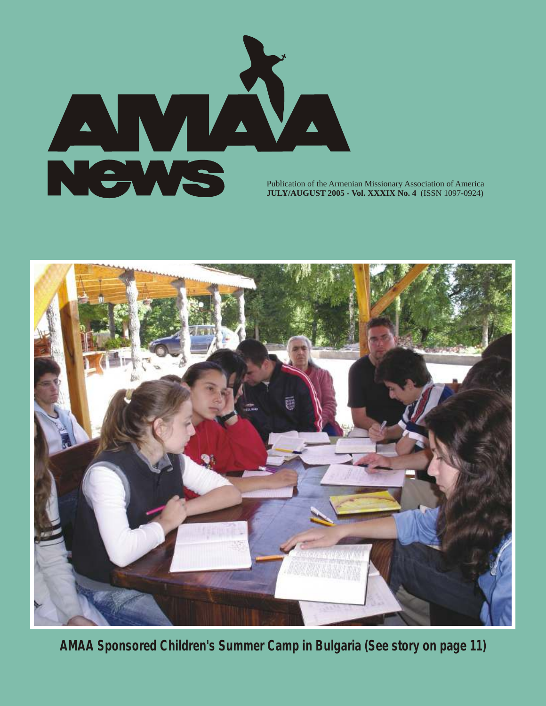

**JULY/AUGUST 2005 - Vol. XXXIX No. 4** (ISSN 1097-0924)



**AMAA Sponsored Children's Summer Camp in Bulgaria (See story on page 11)**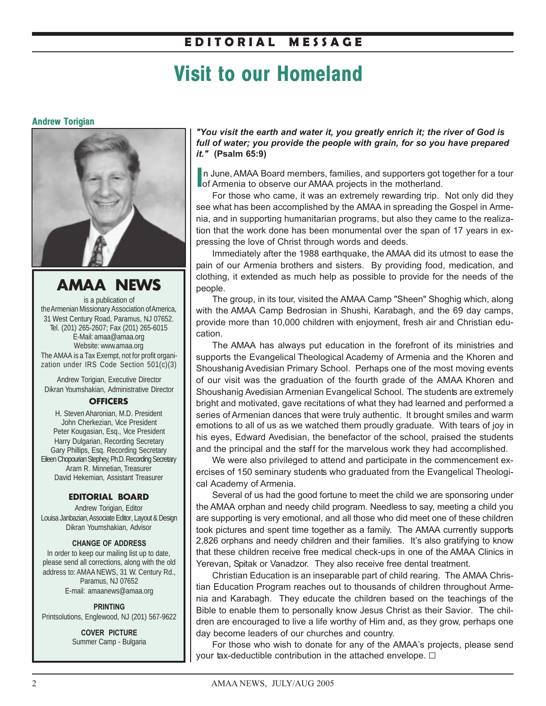# **E D I T O R I A L M E S S A G E**

# **Visit to our Homeland**

### **Andrew Torigian**



**AMAA NEWS**

is a publication of the Armenian Missionary Association of America, 31 West Century Road, Paramus, NJ 07652. Tel. (201) 265-2607; Fax (201) 265-6015 E-Mail: amaa@amaa.org Website: www.amaa.org The AMAA is a Tax Exempt, not for profit organization under IRS Code Section 501(c)(3)

Andrew Torigian, Executive Director Dikran Youmshakian, Administrative Director

### **OFFICERS**

H. Steven Aharonian, M.D. President John Cherkezian, Vice President Peter Kougasian, Esq., Vice President Harry Dulgarian, Recording Secretary Gary Phillips, Esq. Recording Secretary Eileen Chopourian Stephey, Ph.D. Recording Secretary Aram R. Minnetian, Treasurer David Hekemian, Assistant Treasurer

### **EDITORIAL BOARD**

Andrew Torigian, Editor Louisa Janbazian, Associate Editor, Layout & Design Dikran Youmshakian, Advisor

#### **CHANGE OF ADDRESS**

In order to keep our mailing list up to date, please send all corrections, along with the old address to: AMAA NEWS, 31 W. Century Rd., Paramus, NJ 07652 E-mail: amaanews@amaa.org

**PRINTING** Printsolutions, Englewood, NJ (201) 567-9622

> **COVER PICTURE** Summer Camp - Bulgaria

*"You visit the earth and water it, you greatly enrich it; the river of God is full of water; you provide the people with grain, for so you have prepared it."* **(Psalm 65:9)**

In June, AMAA Board members, families, and supporters got of Armenia to observe our AMAA projects in the motherland. n June, AMAA Board members, families, and supporters got together for a tour

For those who came, it was an extremely rewarding trip. Not only did they see what has been accomplished by the AMAA in spreading the Gospel in Armenia, and in supporting humanitarian programs, but also they came to the realization that the work done has been monumental over the span of 17 years in expressing the love of Christ through words and deeds.

Immediately after the 1988 earthquake, the AMAA did its utmost to ease the pain of our Armenia brothers and sisters. By providing food, medication, and clothing, it extended as much help as possible to provide for the needs of the people.

The group, in its tour, visited the AMAA Camp "Sheen" Shoghig which, along with the AMAA Camp Bedrosian in Shushi, Karabagh, and the 69 day camps, provide more than 10,000 children with enjoyment, fresh air and Christian education.

The AMAA has always put education in the forefront of its ministries and supports the Evangelical Theological Academy of Armenia and the Khoren and Shoushanig Avedisian Primary School. Perhaps one of the most moving events of our visit was the graduation of the fourth grade of the AMAA Khoren and Shoushanig Avedisian Armenian Evangelical School. The students are extremely bright and motivated, gave recitations of what they had learned and performed a series of Armenian dances that were truly authentic. It brought smiles and warm emotions to all of us as we watched them proudly graduate. With tears of joy in his eyes, Edward Avedisian, the benefactor of the school, praised the students and the principal and the staff for the marvelous work they had accomplished.

We were also privileged to attend and participate in the commencement exercises of 150 seminary students who graduated from the Evangelical Theological Academy of Armenia.

Several of us had the good fortune to meet the child we are sponsoring under the AMAA orphan and needy child program. Needless to say, meeting a child you are supporting is very emotional, and all those who did meet one of these children took pictures and spent time together as a family. The AMAA currently supports 2,826 orphans and needy children and their families. It's also gratifying to know that these children receive free medical check-ups in one of the AMAA Clinics in Yerevan, Spitak or Vanadzor. They also receive free dental treatment.

Christian Education is an inseparable part of child rearing. The AMAA Christian Education Program reaches out to thousands of children throughout Armenia and Karabagh. They educate the children based on the teachings of the Bible to enable them to personally know Jesus Christ as their Savior. The children are encouraged to live a life worthy of Him and, as they grow, perhaps one day become leaders of our churches and country.

For those who wish to donate for any of the AMAA's projects, please send your tax-deductible contribution in the attached envelope.  $\Box$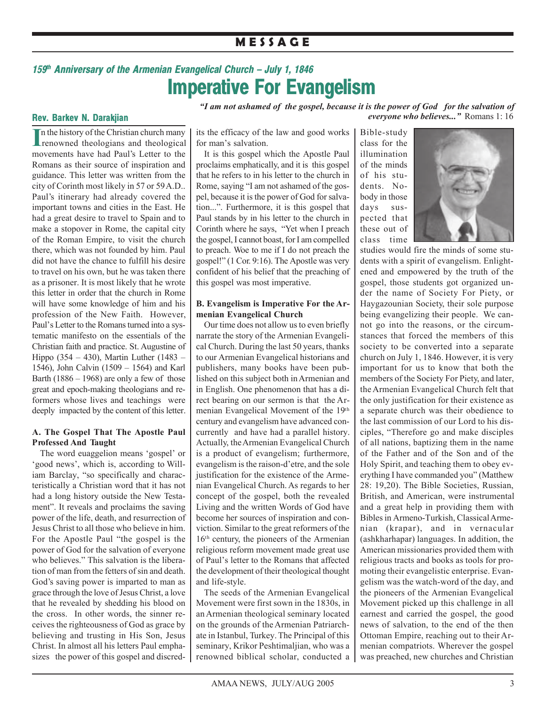# **M E S S A G E**

# *159th Anniversary of the Armenian Evangelical Church – July 1, 1846* **Imperative For Evangelism**

*"I am not ashamed of the gospel, because it is the power of God for the salvation of everyone who believes..."* Romans 1: 16

### **Rev. Barkev N. Darakjian**

In the history of the Christian church many<br>
renowned theologians and theological n the history of the Christian church many movements have had Paul's Letter to the Romans as their source of inspiration and guidance. This letter was written from the city of Corinth most likely in 57 or 59 A.D.. Paul's itinerary had already covered the important towns and cities in the East. He had a great desire to travel to Spain and to make a stopover in Rome, the capital city of the Roman Empire, to visit the church there, which was not founded by him. Paul did not have the chance to fulfill his desire to travel on his own, but he was taken there as a prisoner. It is most likely that he wrote this letter in order that the church in Rome will have some knowledge of him and his profession of the New Faith. However, Paul's Letter to the Romans turned into a systematic manifesto on the essentials of the Christian faith and practice. St. Augustine of Hippo (354 – 430), Martin Luther (1483 – 1546), John Calvin (1509 – 1564) and Karl Barth  $(1886 - 1968)$  are only a few of those great and epoch-making theologians and reformers whose lives and teachings were deeply impacted by the content of this letter.

### **A. The Gospel That The Apostle Paul Professed And Taught**

The word euaggelion means 'gospel' or 'good news', which is, according to William Barclay, "so specifically and characteristically a Christian word that it has not had a long history outside the New Testament". It reveals and proclaims the saving power of the life, death, and resurrection of Jesus Christ to all those who believe in him. For the Apostle Paul "the gospel is the power of God for the salvation of everyone who believes." This salvation is the liberation of man from the fetters of sin and death. God's saving power is imparted to man as grace through the love of Jesus Christ, a love that he revealed by shedding his blood on the cross. In other words, the sinner receives the righteousness of God as grace by believing and trusting in His Son, Jesus Christ. In almost all his letters Paul emphasizes the power of this gospel and discredits the efficacy of the law and good works for man's salvation.

It is this gospel which the Apostle Paul proclaims emphatically, and it is this gospel that he refers to in his letter to the church in Rome, saying "I am not ashamed of the gospel, because it is the power of God for salvation...". Furthermore, it is this gospel that Paul stands by in his letter to the church in Corinth where he says, "Yet when I preach the gospel, I cannot boast, for I am compelled to preach. Woe to me if I do not preach the gospel!" (1 Cor. 9:16). The Apostle was very confident of his belief that the preaching of this gospel was most imperative.

### **B. Evangelism is Imperative For the Armenian Evangelical Church**

Our time does not allow us to even briefly narrate the story of the Armenian Evangelical Church. During the last 50 years, thanks to our Armenian Evangelical historians and publishers, many books have been published on this subject both in Armenian and in English. One phenomenon that has a direct bearing on our sermon is that the Armenian Evangelical Movement of the 19th century and evangelism have advanced concurrently and have had a parallel history. Actually, the Armenian Evangelical Church is a product of evangelism; furthermore, evangelism is the raison-d'etre, and the sole justification for the existence of the Armenian Evangelical Church. As regards to her concept of the gospel, both the revealed Living and the written Words of God have become her sources of inspiration and conviction. Similar to the great reformers of the 16th century, the pioneers of the Armenian religious reform movement made great use of Paul's letter to the Romans that affected the development of their theological thought and life-style.

The seeds of the Armenian Evangelical Movement were first sown in the 1830s, in an Armenian theological seminary located on the grounds of the Armenian Patriarchate in Istanbul, Turkey. The Principal of this seminary, Krikor Peshtimaljian, who was a renowned biblical scholar, conducted a

Bible-study class for the illumination of the minds of his students. Nobody in those days suspected that these out of class time



studies would fire the minds of some students with a spirit of evangelism. Enlightened and empowered by the truth of the gospel, those students got organized under the name of Society For Piety, or Haygazounian Society, their sole purpose being evangelizing their people. We cannot go into the reasons, or the circumstances that forced the members of this society to be converted into a separate church on July 1, 1846. However, it is very important for us to know that both the members of the Society For Piety, and later, the Armenian Evangelical Church felt that the only justification for their existence as a separate church was their obedience to the last commission of our Lord to his disciples, "Therefore go and make disciples of all nations, baptizing them in the name of the Father and of the Son and of the Holy Spirit, and teaching them to obey everything I have commanded you" (Matthew 28: 19,20). The Bible Societies, Russian, British, and American, were instrumental and a great help in providing them with Bibles in Armeno-Turkish, Classical Armenian (krapar), and in vernacular (ashkharhapar) languages. In addition, the American missionaries provided them with religious tracts and books as tools for promoting their evangelistic enterprise. Evangelism was the watch-word of the day, and the pioneers of the Armenian Evangelical Movement picked up this challenge in all earnest and carried the gospel, the good news of salvation, to the end of the then Ottoman Empire, reaching out to their Armenian compatriots. Wherever the gospel was preached, new churches and Christian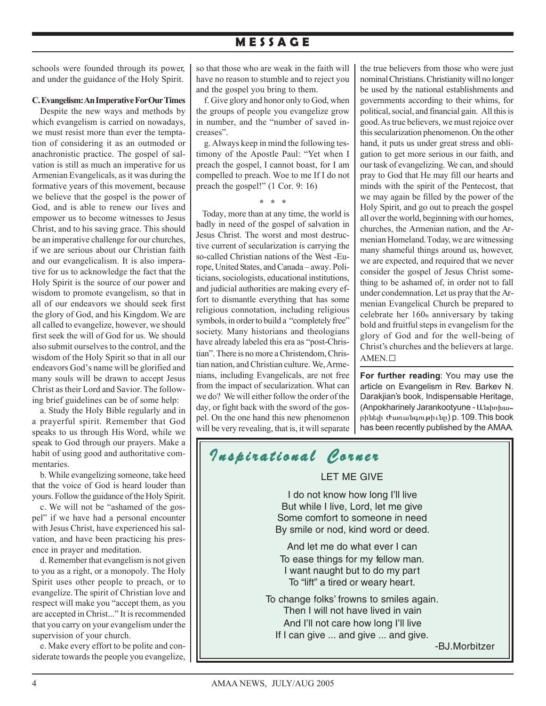# **M E S S A G E**

schools were founded through its power, and under the guidance of the Holy Spirit.

#### **C. Evangelism: An Imperative For Our Times**

Despite the new ways and methods by which evangelism is carried on nowadays, we must resist more than ever the temptation of considering it as an outmoded or anachronistic practice. The gospel of salvation is still as much an imperative for us Armenian Evangelicals, as it was during the formative years of this movement, because we believe that the gospel is the power of God, and is able to renew our lives and empower us to become witnesses to Jesus Christ, and to his saving grace. This should be an imperative challenge for our churches, if we are serious about our Christian faith and our evangelicalism. It is also imperative for us to acknowledge the fact that the Holy Spirit is the source of our power and wisdom to promote evangelism, so that in all of our endeavors we should seek first the glory of God, and his Kingdom. We are all called to evangelize, however, we should first seek the will of God for us. We should also submit ourselves to the control, and the wisdom of the Holy Spirit so that in all our endeavors God's name will be glorified and many souls will be drawn to accept Jesus Christ as their Lord and Savior. The following brief guidelines can be of some help:

a. Study the Holy Bible regularly and in a prayerful spirit. Remember that God speaks to us through His Word, while we speak to God through our prayers. Make a habit of using good and authoritative commentaries.

b. While evangelizing someone, take heed that the voice of God is heard louder than yours. Follow the guidance of the Holy Spirit.

c. We will not be "ashamed of the gospel" if we have had a personal encounter with Jesus Christ, have experienced his salvation, and have been practicing his presence in prayer and meditation.

d. Remember that evangelism is not given to you as a right, or a monopoly. The Holy Spirit uses other people to preach, or to evangelize. The spirit of Christian love and respect will make you "accept them, as you are accepted in Christ..." It is recommended that you carry on your evangelism under the supervision of your church.

e. Make every effort to be polite and considerate towards the people you evangelize, so that those who are weak in the faith will have no reason to stumble and to reject you and the gospel you bring to them.

f. Give glory and honor only to God, when the groups of people you evangelize grow in number, and the "number of saved increases".

g. Always keep in mind the following testimony of the Apostle Paul: "Yet when I preach the gospel, I cannot boast, for I am compelled to preach. Woe to me If I do not preach the gospel!" (1 Cor. 9: 16)

**\* \* \***

 Today, more than at any time, the world is badly in need of the gospel of salvation in Jesus Christ. The worst and most destructive current of secularization is carrying the so-called Christian nations of the West -Europe, United States, and Canada – away. Politicians, sociologists, educational institutions, and judicial authorities are making every effort to dismantle everything that has some religious connotation, including religious symbols, in order to build a "completely free" society. Many historians and theologians have already labeled this era as "post-Christian". There is no more a Christendom, Christian nation, and Christian culture. We, Armenians, including Evangelicals, are not free from the impact of secularization. What can we do? We will either follow the order of the day, or fight back with the sword of the gospel. On the one hand this new phenomenon will be very revealing, that is, it will separate

*I nspirational Corner nspirational* 

LET ME GIVE

I do not know how long I'll live But while I live, Lord, let me give Some comfort to someone in need By smile or nod, kind word or deed. And let me do what ever I can To ease things for my fellow man. I want naught but to do my part To "lift" a tired or weary heart. To change folks' frowns to smiles again. Then I will not have lived in vain And I'll not care how long I'll live If I can give ... and give ... and give.

the true believers from those who were just nominal Christians. Christianity will no longer be used by the national establishments and governments according to their whims, for political, social, and financial gain. All this is good. As true believers, we must rejoice over this secularization phenomenon. On the other hand, it puts us under great stress and obligation to get more serious in our faith, and our task of evangelizing. We can, and should pray to God that He may fill our hearts and minds with the spirit of the Pentecost, that we may again be filled by the power of the Holy Spirit, and go out to preach the gospel all over the world, beginning with our homes, churches, the Armenian nation, and the Armenian Homeland. Today, we are witnessing many shameful things around us, however, we are expected, and required that we never consider the gospel of Jesus Christ something to be ashamed of, in order not to fall under condemnation. Let us pray that the Armenian Evangelical Church be prepared to celebrate her  $160<sub>th</sub>$  anniversary by taking bold and fruitful steps in evangelism for the glory of God and for the well-being of Christ's churches and the believers at large. AMEN. G

**For further reading**: You may use the article on Evangelism in Rev. Barkev N. Darakjian's book, Indispensable Heritage, (Anpokharinely Jarankootyune - U. uhnhuuրինելի Ժառանգութիւնը) p. 109. This book has been recently published by the AMAA.

-BJ.Morbitzer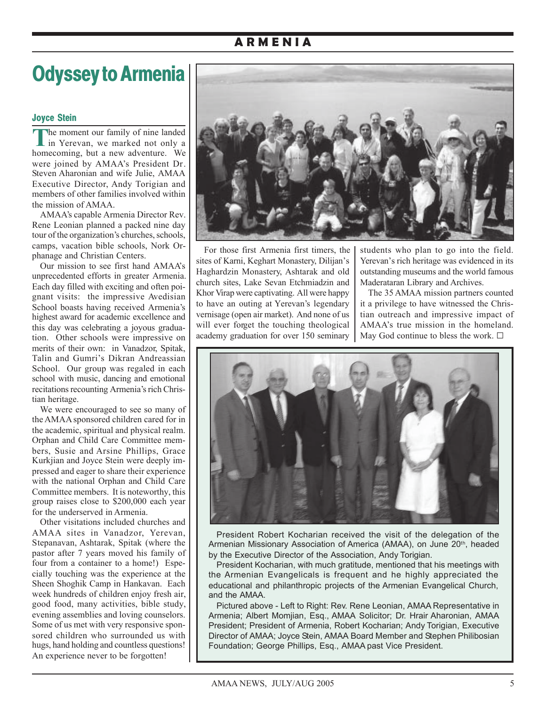# **A R M E N I A**

# **Odyssey to Armenia**

### **Joyce Stein**

**T**he moment our family of nine landed In Yerevan, we marked not only a homecoming, but a new adventure. We were joined by AMAA's President Dr. Steven Aharonian and wife Julie, AMAA Executive Director, Andy Torigian and members of other families involved within the mission of AMAA.

AMAA's capable Armenia Director Rev. Rene Leonian planned a packed nine day tour of the organization's churches, schools, camps, vacation bible schools, Nork Orphanage and Christian Centers.

Our mission to see first hand AMAA's unprecedented efforts in greater Armenia. Each day filled with exciting and often poignant visits: the impressive Avedisian School boasts having received Armenia's highest award for academic excellence and this day was celebrating a joyous graduation. Other schools were impressive on merits of their own: in Vanadzor, Spitak, Talin and Gumri's Dikran Andreassian School. Our group was regaled in each school with music, dancing and emotional recitations recounting Armenia's rich Christian heritage.

We were encouraged to see so many of the AMAA sponsored children cared for in the academic, spiritual and physical realm. Orphan and Child Care Committee members, Susie and Arsine Phillips, Grace Kurkjian and Joyce Stein were deeply impressed and eager to share their experience with the national Orphan and Child Care Committee members. It is noteworthy, this group raises close to \$200,000 each year for the underserved in Armenia.

Other visitations included churches and AMAA sites in Vanadzor, Yerevan, Stepanavan, Ashtarak, Spitak (where the pastor after 7 years moved his family of four from a container to a home!) Especially touching was the experience at the Sheen Shoghik Camp in Hankavan. Each week hundreds of children enjoy fresh air, good food, many activities, bible study, evening assemblies and loving counselors. Some of us met with very responsive sponsored children who surrounded us with hugs, hand holding and countless questions! An experience never to be forgotten!



For those first Armenia first timers, the sites of Karni, Keghart Monastery, Dilijan's Haghardzin Monastery, Ashtarak and old church sites, Lake Sevan Etchmiadzin and Khor Virap were captivating. All were happy to have an outing at Yerevan's legendary vernisage (open air market). And none of us will ever forget the touching theological academy graduation for over 150 seminary students who plan to go into the field. Yerevan's rich heritage was evidenced in its outstanding museums and the world famous Maderataran Library and Archives.

The 35 AMAA mission partners counted it a privilege to have witnessed the Christian outreach and impressive impact of AMAA's true mission in the homeland. May God continue to bless the work.  $\Box$ 



President Robert Kocharian received the visit of the delegation of the Armenian Missionary Association of America (AMAA), on June 20<sup>th</sup>, headed by the Executive Director of the Association, Andy Torigian.

President Kocharian, with much gratitude, mentioned that his meetings with the Armenian Evangelicals is frequent and he highly appreciated the educational and philanthropic projects of the Armenian Evangelical Church, and the AMAA.

Pictured above - Left to Right: Rev. Rene Leonian, AMAA Representative in Armenia; Albert Momjian, Esq., AMAA Solicitor; Dr. Hrair Aharonian, AMAA President; President of Armenia, Robert Kocharian; Andy Torigian, Executive Director of AMAA; Joyce Stein, AMAA Board Member and Stephen Philibosian Foundation; George Phillips, Esq., AMAA past Vice President.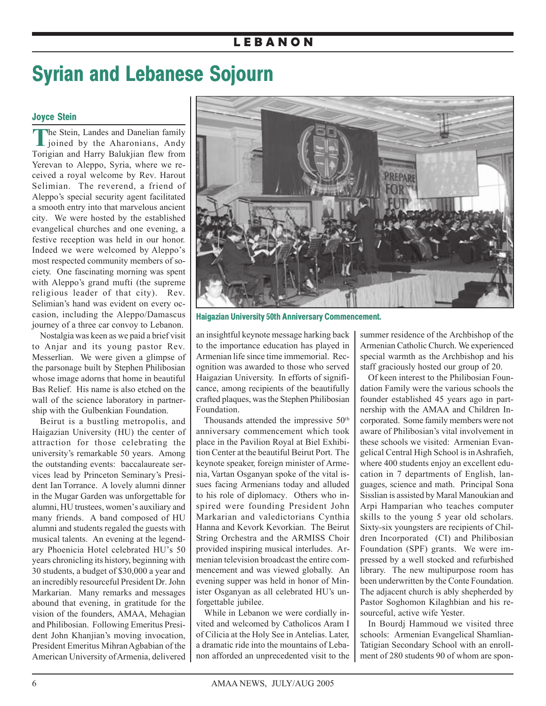# **L E B A N O N**

# **Syrian and Lebanese Sojourn**

### **Joyce Stein**

**T**he Stein, Landes and Danelian family  $\blacksquare$  joined by the Aharonians, Andy Torigian and Harry Balukjian flew from Yerevan to Aleppo, Syria, where we received a royal welcome by Rev. Harout Selimian. The reverend, a friend of Aleppo's special security agent facilitated a smooth entry into that marvelous ancient city. We were hosted by the established evangelical churches and one evening, a festive reception was held in our honor. Indeed we were welcomed by Aleppo's most respected community members of society. One fascinating morning was spent with Aleppo's grand mufti (the supreme religious leader of that city). Rev. Selimian's hand was evident on every occasion, including the Aleppo/Damascus journey of a three car convoy to Lebanon.

Nostalgia was keen as we paid a brief visit to Anjar and its young pastor Rev. Messerlian. We were given a glimpse of the parsonage built by Stephen Philibosian whose image adorns that home in beautiful Bas Relief. His name is also etched on the wall of the science laboratory in partnership with the Gulbenkian Foundation.

Beirut is a bustling metropolis, and Haigazian University (HU) the center of attraction for those celebrating the university's remarkable 50 years. Among the outstanding events: baccalaureate services lead by Princeton Seminary's President Ian Torrance. A lovely alumni dinner in the Mugar Garden was unforgettable for alumni, HU trustees, women's auxiliary and many friends. A band composed of HU alumni and students regaled the guests with musical talents. An evening at the legendary Phoenicia Hotel celebrated HU's 50 years chronicling its history, beginning with 30 students, a budget of \$30,000 a year and an incredibly resourceful President Dr. John Markarian. Many remarks and messages abound that evening, in gratitude for the vision of the founders, AMAA, Mehagian and Philibosian. Following Emeritus President John Khanjian's moving invocation, President Emeritus Mihran Agbabian of the American University of Armenia, delivered



**Haigazian University 50th Anniversary Commencement.**

an insightful keynote message harking back to the importance education has played in Armenian life since time immemorial. Recognition was awarded to those who served Haigazian University. In efforts of significance, among recipients of the beautifully crafted plaques, was the Stephen Philibosian Foundation.

Thousands attended the impressive 50<sup>th</sup> anniversary commencement which took place in the Pavilion Royal at Biel Exhibition Center at the beautiful Beirut Port. The keynote speaker, foreign minister of Armenia, Vartan Osganyan spoke of the vital issues facing Armenians today and alluded to his role of diplomacy. Others who inspired were founding President John Markarian and valedictorians Cynthia Hanna and Kevork Kevorkian. The Beirut String Orchestra and the ARMISS Choir provided inspiring musical interludes. Armenian television broadcast the entire commencement and was viewed globally. An evening supper was held in honor of Minister Osganyan as all celebrated HU's unforgettable jubilee.

While in Lebanon we were cordially invited and welcomed by Catholicos Aram I of Cilicia at the Holy See in Antelias. Later, a dramatic ride into the mountains of Lebanon afforded an unprecedented visit to the summer residence of the Archbishop of the Armenian Catholic Church. We experienced special warmth as the Archbishop and his staff graciously hosted our group of 20.

Of keen interest to the Philibosian Foundation Family were the various schools the founder established 45 years ago in partnership with the AMAA and Children Incorporated. Some family members were not aware of Philibosian's vital involvement in these schools we visited: Armenian Evangelical Central High School is in Ashrafieh, where 400 students enjoy an excellent education in 7 departments of English, languages, science and math. Principal Sona Sisslian is assisted by Maral Manoukian and Arpi Hamparian who teaches computer skills to the young 5 year old scholars. Sixty-six youngsters are recipients of Children Incorporated (CI) and Philibosian Foundation (SPF) grants. We were impressed by a well stocked and refurbished library. The new multipurpose room has been underwritten by the Conte Foundation. The adjacent church is ably shepherded by Pastor Soghomon Kilaghbian and his resourceful, active wife Yester.

In Bourdj Hammoud we visited three schools: Armenian Evangelical Shamlian-Tatigian Secondary School with an enrollment of 280 students 90 of whom are spon-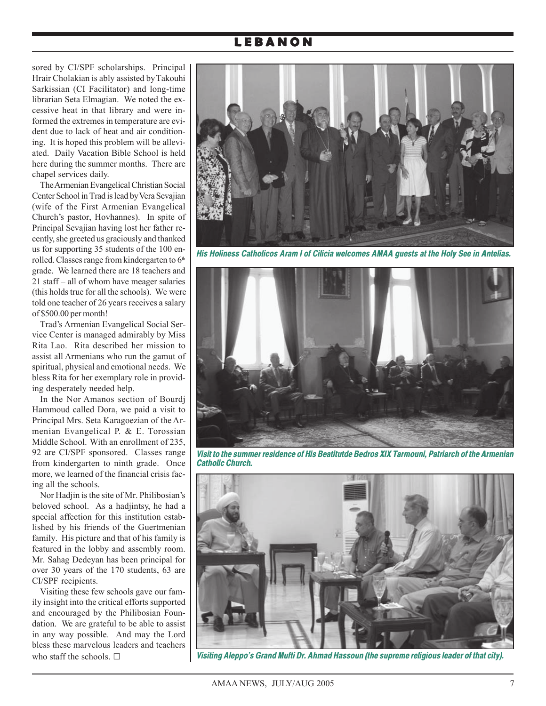# **L E B A N O N**

sored by CI/SPF scholarships. Principal Hrair Cholakian is ably assisted by Takouhi Sarkissian (CI Facilitator) and long-time librarian Seta Elmagian. We noted the excessive heat in that library and were informed the extremes in temperature are evident due to lack of heat and air conditioning. It is hoped this problem will be alleviated. Daily Vacation Bible School is held here during the summer months. There are chapel services daily.

The Armenian Evangelical Christian Social Center School in Trad is lead by Vera Sevajian (wife of the First Armenian Evangelical Church's pastor, Hovhannes). In spite of Principal Sevajian having lost her father recently, she greeted us graciously and thanked us for supporting 35 students of the 100 enrolled. Classes range from kindergarten to  $6<sup>th</sup>$ grade. We learned there are 18 teachers and 21 staff – all of whom have meager salaries (this holds true for all the schools). We were told one teacher of 26 years receives a salary of \$500.00 per month!

Trad's Armenian Evangelical Social Service Center is managed admirably by Miss Rita Lao. Rita described her mission to assist all Armenians who run the gamut of spiritual, physical and emotional needs. We bless Rita for her exemplary role in providing desperately needed help.

In the Nor Amanos section of Bourdj Hammoud called Dora, we paid a visit to Principal Mrs. Seta Karagoezian of the Armenian Evangelical P. & E. Torossian Middle School. With an enrollment of 235, 92 are CI/SPF sponsored. Classes range from kindergarten to ninth grade. Once more, we learned of the financial crisis facing all the schools.

Nor Hadjin is the site of Mr. Philibosian's beloved school. As a hadjintsy, he had a special affection for this institution established by his friends of the Guertmenian family. His picture and that of his family is featured in the lobby and assembly room. Mr. Sahag Dedeyan has been principal for over 30 years of the 170 students, 63 are CI/SPF recipients.

Visiting these few schools gave our family insight into the critical efforts supported and encouraged by the Philibosian Foundation. We are grateful to be able to assist in any way possible. And may the Lord bless these marvelous leaders and teachers who staff the schools.  $\square$ 



*His Holiness Catholicos Aram I of Cilicia welcomes AMAA guests at the Holy See in Antelias.*



*Visit to the summer residence of His Beatitutde Bedros XIX Tarmouni, Patriarch of the Armenian Catholic Church.*



*Visiting Aleppo's Grand Mufti Dr. Ahmad Hassoun (the supreme religious leader of that city).*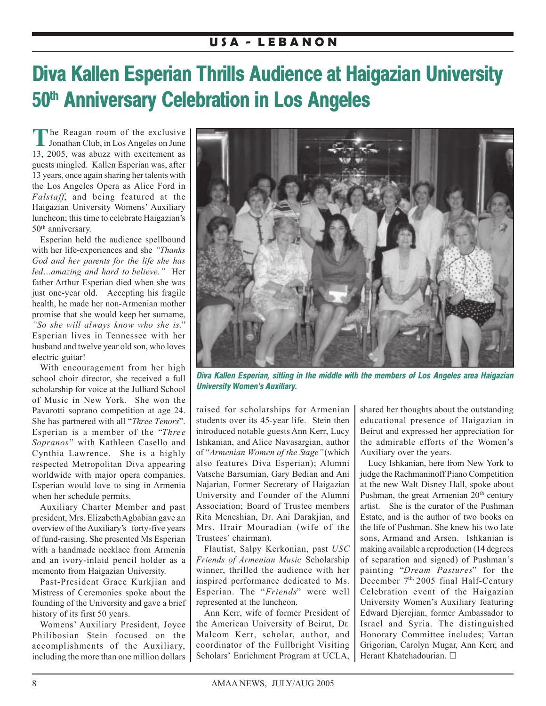# **Diva Kallen Esperian Thrills Audience at Haigazian University 50th Anniversary Celebration in Los Angeles**

The Reagan room of the exclusive<br>Jonathan Club, in Los Angeles on June 13, 2005, was abuzz with excitement as guests mingled. Kallen Esperian was, after 13 years, once again sharing her talents with the Los Angeles Opera as Alice Ford in *Falstaff*, and being featured at the Haigazian University Womens' Auxiliary luncheon; this time to celebrate Haigazian's 50th anniversary.

Esperian held the audience spellbound with her life-experiences and she *"Thanks God and her parents for the life she has led…amazing and hard to believe."* Her father Arthur Esperian died when she was just one-year old. Accepting his fragile health, he made her non-Armenian mother promise that she would keep her surname, *"So she will always know who she is*." Esperian lives in Tennessee with her husband and twelve year old son, who loves electric guitar!

With encouragement from her high school choir director, she received a full scholarship for voice at the Julliard School of Music in New York. She won the Pavarotti soprano competition at age 24. She has partnered with all "*Three Tenors*". Esperian is a member of the "*Three Sopranos*" with Kathleen Casello and Cynthia Lawrence. She is a highly respected Metropolitan Diva appearing worldwide with major opera companies. Esperian would love to sing in Armenia when her schedule permits.

Auxiliary Charter Member and past president, Mrs. Elizabeth Agbabian gave an overview of the Auxiliary's forty-five years of fund-raising. She presented Ms Esperian with a handmade necklace from Armenia and an ivory-inlaid pencil holder as a memento from Haigazian University.

Past-President Grace Kurkjian and Mistress of Ceremonies spoke about the founding of the University and gave a brief history of its first 50 years.

Womens' Auxiliary President, Joyce Philibosian Stein focused on the accomplishments of the Auxiliary, including the more than one million dollars



*Diva Kallen Esperian, sitting in the middle with the members of Los Angeles area Haigazian University Women's Auxiliary.*

raised for scholarships for Armenian students over its 45-year life. Stein then introduced notable guests Ann Kerr, Lucy Ishkanian, and Alice Navasargian, author of "*Armenian Women of the Stage"*(which also features Diva Esperian); Alumni Vatsche Barsumian, Gary Bedian and Ani Najarian, Former Secretary of Haigazian University and Founder of the Alumni Association; Board of Trustee members Rita Meneshian, Dr. Ani Darakjian, and Mrs. Hrair Mouradian (wife of the Trustees' chairman).

Flautist, Salpy Kerkonian, past *USC Friends of Armenian Music* Scholarship winner, thrilled the audience with her inspired performance dedicated to Ms. Esperian. The "*Friends*" were well represented at the luncheon.

Ann Kerr, wife of former President of the American University of Beirut, Dr. Malcom Kerr, scholar, author, and coordinator of the Fullbright Visiting Scholars' Enrichment Program at UCLA, shared her thoughts about the outstanding educational presence of Haigazian in Beirut and expressed her appreciation for the admirable efforts of the Women's Auxiliary over the years.

Lucy Ishkanian, here from New York to judge the Rachmaninoff Piano Competition at the new Walt Disney Hall, spoke about Pushman, the great Armenian  $20<sup>th</sup>$  century artist. She is the curator of the Pushman Estate, and is the author of two books on the life of Pushman. She knew his two late sons, Armand and Arsen. Ishkanian is making available a reproduction (14 degrees of separation and signed) of Pushman's painting "*Dream Pastures*" for the December  $7<sup>th</sup>$ , 2005 final Half-Century Celebration event of the Haigazian University Women's Auxiliary featuring Edward Djerejian, former Ambassador to Israel and Syria. The distinguished Honorary Committee includes; Vartan Grigorian, Carolyn Mugar, Ann Kerr, and Herant Khatchadourian. G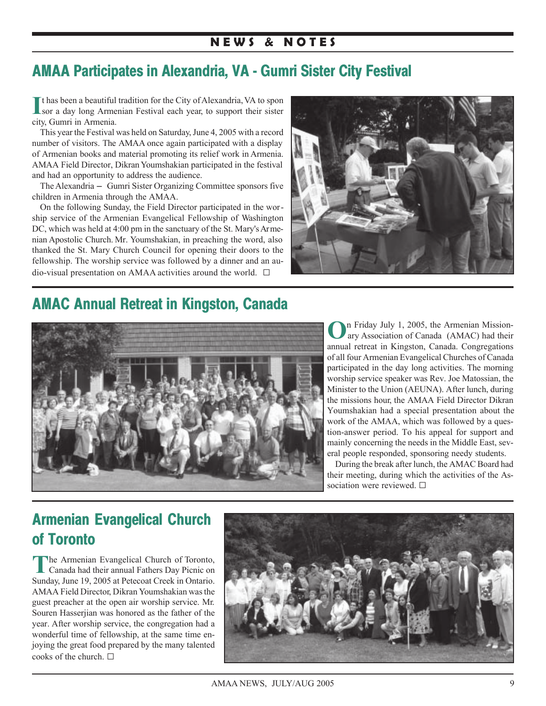# **N E W S & N O T E S**

# **AMAA Participates in Alexandria, VA - Gumri Sister City Festival**

If has been a beautiful tradition for the City of Alexandria, VA to spon sor a day long Armenian Festival each year, to support their sister sor a day long Armenian Festival each year, to support their sister city, Gumri in Armenia.

This year the Festival was held on Saturday, June 4, 2005 with a record number of visitors. The AMAA once again participated with a display of Armenian books and material promoting its relief work in Armenia. AMAA Field Director, Dikran Youmshakian participated in the festival and had an opportunity to address the audience.

The Alexandria - Gumri Sister Organizing Committee sponsors five children in Armenia through the AMAA.

On the following Sunday, the Field Director participated in the worship service of the Armenian Evangelical Fellowship of Washington DC, which was held at 4:00 pm in the sanctuary of the St. Mary's Armenian Apostolic Church. Mr. Youmshakian, in preaching the word, also thanked the St. Mary Church Council for opening their doors to the fellowship. The worship service was followed by a dinner and an audio-visual presentation on AMAA activities around the world.  $\square$ 



# **AMAC Annual Retreat in Kingston, Canada**



**O**n Friday July 1, 2005, the Armenian Missionary Association of Canada (AMAC) had their annual retreat in Kingston, Canada. Congregations of all four Armenian Evangelical Churches of Canada participated in the day long activities. The morning worship service speaker was Rev. Joe Matossian, the Minister to the Union (AEUNA). After lunch, during the missions hour, the AMAA Field Director Dikran Youmshakian had a special presentation about the work of the AMAA, which was followed by a question-answer period. To his appeal for support and mainly concerning the needs in the Middle East, several people responded, sponsoring needy students.

During the break after lunch, the AMAC Board had their meeting, during which the activities of the Association were reviewed.  $\square$ 

# **Armenian Evangelical Church of Toronto**

**T**he Armenian Evangelical Church of Toronto, Canada had their annual Fathers Day Picnic on Sunday, June 19, 2005 at Petecoat Creek in Ontario. AMAA Field Director, Dikran Youmshakian was the guest preacher at the open air worship service. Mr. Souren Hasserjian was honored as the father of the year. After worship service, the congregation had a wonderful time of fellowship, at the same time enjoying the great food prepared by the many talented cooks of the church.  $\Box$ 

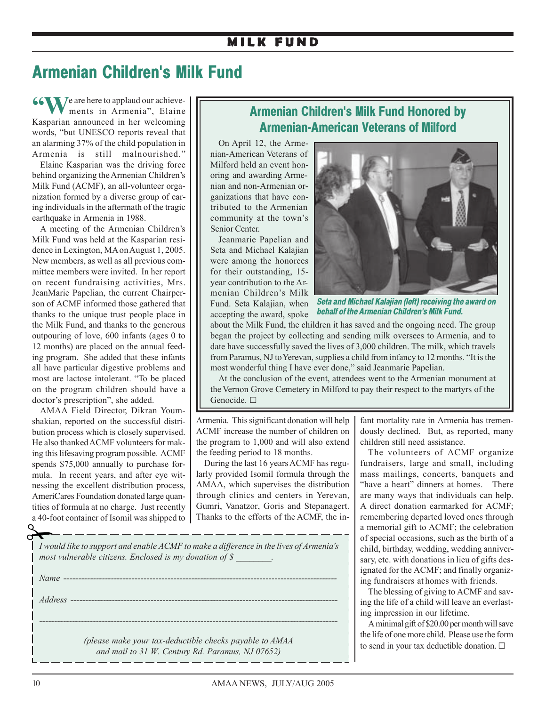# **M I L K F U N D**

# **Armenian Children's Milk Fund**

**66 W** *J*e are here to applaud our achieve ments in Armenia", Elaine Kasparian announced in her welcoming words, "but UNESCO reports reveal that an alarming 37% of the child population in Armenia is still malnourished."

Elaine Kasparian was the driving force behind organizing the Armenian Children's Milk Fund (ACMF), an all-volunteer organization formed by a diverse group of caring individuals in the aftermath of the tragic earthquake in Armenia in 1988.

A meeting of the Armenian Children's Milk Fund was held at the Kasparian residence in Lexington, MA on August 1, 2005. New members, as well as all previous committee members were invited. In her report on recent fundraising activities, Mrs. JeanMarie Papelian, the current Chairperson of ACMF informed those gathered that thanks to the unique trust people place in the Milk Fund, and thanks to the generous outpouring of love, 600 infants (ages 0 to 12 months) are placed on the annual feeding program. She added that these infants all have particular digestive problems and most are lactose intolerant. "To be placed on the program children should have a doctor's prescription", she added.

AMAA Field Director, Dikran Youmshakian, reported on the successful distribution process which is closely supervised. He also thanked ACMF volunteers for making this lifesaving program possible. ACMF spends \$75,000 annually to purchase formula. In recent years, and after eye witnessing the excellent distribution process, AmeriCares Foundation donated large quantities of formula at no charge. Just recently

# **Armenian Children's Milk Fund Honored by Armenian-American Veterans of Milford**

On April 12, the Armenian-American Veterans of Milford held an event honoring and awarding Armenian and non-Armenian organizations that have contributed to the Armenian community at the town's Senior Center.

Jeanmarie Papelian and Seta and Michael Kalajian were among the honorees for their outstanding, 15 year contribution to the Armenian Children's Milk Fund. Seta Kalajian, when accepting the award, spoke



*Seta and Michael Kalajian (left) receiving the award on behalf of the Armenian Children's Milk Fund.*

about the Milk Fund, the children it has saved and the ongoing need. The group began the project by collecting and sending milk oversees to Armenia, and to date have successfully saved the lives of 3,000 children. The milk, which travels from Paramus, NJ to Yerevan, supplies a child from infancy to 12 months. "It is the most wonderful thing I have ever done," said Jeanmarie Papelian.

At the conclusion of the event, attendees went to the Armenian monument at the Vernon Grove Cemetery in Milford to pay their respect to the martyrs of the Genocide.  $\square$ 

Armenia. This significant donation will help ACMF increase the number of children on the program to 1,000 and will also extend the feeding period to 18 months.

During the last 16 years ACMF has regularly provided Isomil formula through the AMAA, which supervises the distribution through clinics and centers in Yerevan, Gumri, Vanatzor, Goris and Stepanagert. Thanks to the efforts of the ACMF, the infant mortality rate in Armenia has tremendously declined. But, as reported, many children still need assistance.

The volunteers of ACMF organize fundraisers, large and small, including mass mailings, concerts, banquets and "have a heart" dinners at homes. There are many ways that individuals can help. A direct donation earmarked for ACMF; remembering departed loved ones through a memorial gift to ACMF; the celebration of special occasions, such as the birth of a child, birthday, wedding, wedding anniversary, etc. with donations in lieu of gifts designated for the ACMF; and finally organizing fundraisers at homes with friends.

The blessing of giving to ACMF and saving the life of a child will leave an everlasting impression in our lifetime.

A minimal gift of \$20.00 per month will save the life of one more child. Please use the form to send in your tax deductible donation.  $\square$ 

|    | a 40-foot container of Isomil was shipped to   Thanks to the efforts of the ACMF, the  |
|----|----------------------------------------------------------------------------------------|
|    |                                                                                        |
| ہے |                                                                                        |
|    | I would like to support and enable ACMF to make a difference in the lives of Armenia's |
|    | most vulnerable citizens. Enclosed is my donation of $\oint$                           |

*Name -------------------------------------------------------------------------------------------- Address ------------------------------------------------------------------------------------------ ---------------------------------------------------------------------------------------------------- (please make your tax-deductible checks payable to AMAA and mail to 31 W. Century Rd. Paramus, NJ 07652)*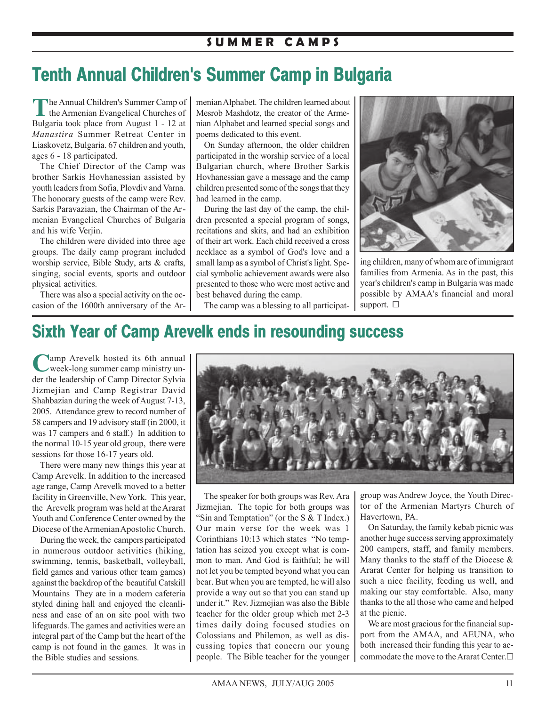# **Tenth Annual Children's Summer Camp in Bulgaria**

The Annual Children's Summer Camp of the Armenian Evangelical Churches of Bulgaria took place from August 1 - 12 at *Manastira* Summer Retreat Center in Liaskovetz, Bulgaria. 67 children and youth, ages 6 - 18 participated.

The Chief Director of the Camp was brother Sarkis Hovhanessian assisted by youth leaders from Sofia, Plovdiv and Varna. The honorary guests of the camp were Rev. Sarkis Paravazian, the Chairman of the Armenian Evangelical Churches of Bulgaria and his wife Verjin.

The children were divided into three age groups. The daily camp program included worship service, Bible Study, arts & crafts, singing, social events, sports and outdoor physical activities.

There was also a special activity on the occasion of the 1600th anniversary of the Armenian Alphabet. The children learned about Mesrob Mashdotz, the creator of the Armenian Alphabet and learned special songs and poems dedicated to this event.

On Sunday afternoon, the older children participated in the worship service of a local Bulgarian church, where Brother Sarkis Hovhanessian gave a message and the camp children presented some of the songs that they had learned in the camp.

During the last day of the camp, the children presented a special program of songs, recitations and skits, and had an exhibition of their art work. Each child received a cross necklace as a symbol of God's love and a small lamp as a symbol of Christ's light. Special symbolic achievement awards were also presented to those who were most active and best behaved during the camp.

The camp was a blessing to all participat-



ing children, many of whom are of immigrant families from Armenia. As in the past, this year's children's camp in Bulgaria was made possible by AMAA's financial and moral support.  $\square$ 

# **Sixth Year of Camp Arevelk ends in resounding success**

**Lamp Arevelk hosted its 6th annual** week-long summer camp ministry under the leadership of Camp Director Sylvia Jizmejian and Camp Registrar David Shahbazian during the week of August 7-13, 2005. Attendance grew to record number of 58 campers and 19 advisory staff (in 2000, it was 17 campers and 6 staff.) In addition to the normal 10-15 year old group, there were sessions for those 16-17 years old.

There were many new things this year at Camp Arevelk. In addition to the increased age range, Camp Arevelk moved to a better facility in Greenville, New York. This year, the Arevelk program was held at the Ararat Youth and Conference Center owned by the Diocese of the Armenian Apostolic Church.

During the week, the campers participated in numerous outdoor activities (hiking, swimming, tennis, basketball, volleyball, field games and various other team games) against the backdrop of the beautiful Catskill Mountains They ate in a modern cafeteria styled dining hall and enjoyed the cleanliness and ease of an on site pool with two lifeguards. The games and activities were an integral part of the Camp but the heart of the camp is not found in the games. It was in the Bible studies and sessions.



The speaker for both groups was Rev. Ara Jizmejian. The topic for both groups was "Sin and Temptation" (or the S & T Index.) Our main verse for the week was 1 Corinthians 10:13 which states "No temptation has seized you except what is common to man. And God is faithful; he will not let you be tempted beyond what you can bear. But when you are tempted, he will also provide a way out so that you can stand up under it." Rev. Jizmejian was also the Bible teacher for the older group which met 2-3 times daily doing focused studies on Colossians and Philemon, as well as discussing topics that concern our young people. The Bible teacher for the younger group was Andrew Joyce, the Youth Director of the Armenian Martyrs Church of Havertown, PA.

On Saturday, the family kebab picnic was another huge success serving approximately 200 campers, staff, and family members. Many thanks to the staff of the Diocese  $\&$ Ararat Center for helping us transition to such a nice facility, feeding us well, and making our stay comfortable. Also, many thanks to the all those who came and helped at the picnic.

We are most gracious for the financial support from the AMAA, and AEUNA, who both increased their funding this year to accommodate the move to the Ararat Center. $\Box$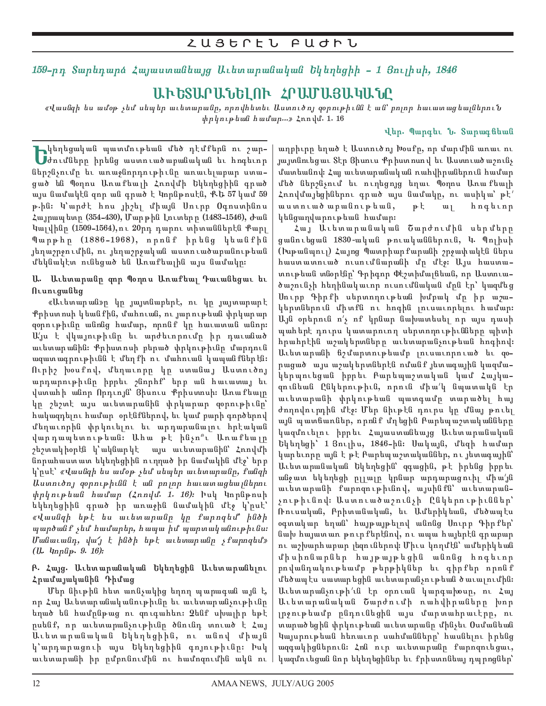# 159-րդ Տարեդարձ Հայաստանեայց Աւետարանական Եկեղեցիի - 1 Յույիսի, 1846

# ԱՒԵՏԱՐԱՆԵԼՈՒ ՀՐԱՄԱՅԱԿԱՆԸ

«վասնզի ես ամօթ չեմ սեպեր աւետարանը, որովհետեւ Աստուծոյ գօրութիւնն է ան՝ բոլոր հաւատացեալներու<mark>ն</mark>  $\psi$ pharphulihun mumamiyan kamalan 16

### վեր. Պարգեւ **Ն. Տարագ** ճեան

**i: կեղեցական պատմութեան մեծ դէմքերն ու շար-<br>Սժումները իրենց աստուածարանական եւ հոգեւոր<br>ներանական** ներշնչումը եւ առաջնորդութիւնը առաւելաբար ստացած են Պօղոս Առաքեալի Հռովմի Եկեղեցիին գրած այս նամակէն զոր ան գրած է Կորնթոսէն, ՔԵ 57 կամ 59 թ.ին։ Կ՝արժէ հոս յիշել միայն Սուրբ Օգոստինոս Հայրապետր (354-430), Մարթին Լուտերր (1483-1546), Ժան Կալվինը (1509-1564),ու 20րդ դարու տիտաններէն Քարլ Պարթհր (1886-1968), որոնք իրենց կեանքին յեղաշրջումին, ու յեղաշրջական աստուածաբանութեան մեկնակէտ ունեցած են Առաքեալին այս նամակը։

Ա. Աւետարանը զոր Պօղոս Առաքեալ Դաւանեցաւ եւ **N**ւunւgանեց

«Աւետարան»ը կը յայտնաբերէ, ու կը յայտարարէ Քրիստոսի կեանքին, մահուան, ու յարութեան փրկարար զօրութիւնը անոնց համար, որոնք կը հաւատան անոր։ Ա՛յս է վկայութիւնը եւ արժեւորումը իր դաւանած աւետարանին։ Քրիստոսի բերած փրկութիւնը մարդուն ազատագրութիւնն է մեղքի ու մահուան կապանքներէն։ Ուրիշ խօսքով, մեղաւորը կը ստանայ Աստուծոյ արդարութիւնը իրրեւ շնորհք՝ երբ ան հաւատայ եւ վստահի անոր Որդւոյն՝ Յիսուս Քրիստոսի։ Առաքեալը կը շեշտէ այս աւետարանին փրկարար զօրութիւնը՝ հակազդելու համար օրէնքներով, եւ կամ բարի գործերով մեղաւորին փրկուելու եւ արդարանալու հրէական վարդապետութեան։ Ահա թէ ինչո՞ւ Առաքեալը շեշտակիօրէն կ՝ակնարկէ այս աւետարանին՝ Հռովմի նորահաստատ եկեղեցիին ուղղած իր նամակին մէջ՝ երբ կ՝րսէ՝ *«Վասնզի ես ամօթ չեմ սեպեր աւետարանը, քանզի* Աստուծոյ զօրութիւնն է ան բոլոր հաւատացեայներու *փրկութեան համար (Հռովմ. 1. 16)։* Իսկ Կորնթոսի եկեղեցիին գրած իր առաջին նամակին մէջ կ՝րսէ՝ «Վասնզի եթէ ես աւետարանը կր քարոզեմ՝ ինծի պարծանք չեմ համարեր, հապա իմ պարտականութիւնս։  $U$ անաւանդ, վա'  $j \nmid h$ նծի եթէ աւետարանը չքարոզեմ» (U. 4nplip. 9. 16):

## **ß. Հայց. Աւետարանական Եկեղեցին Աւետարանելու** Հրամայականին *Գ*իմաց

Մեր նիւթին հետ առնչակից եղող պարագան այն է, որ Հայ Աւետարանականութիւնը եւ աւետարանչութիւնը եղած են համրնթաց ու զուգահեռ։ Չենք սխալիր եթէ րսենք, որ աւետարանչութիւնը ծնունդ տուած է Հայ Աւետարանական Եկեղեցիին, ու անով միայն կ՝արդարացուի այս Եկեղեցիին գոյութիւնը։ Իսկ աւետարանի իր ըմբռնումին ու համոզումին ակն ու

աղբիւրը եղած է Աստուծոյ Խօսքը, որ մարմին առաւ ու յայտնուեցաւ Տէր Յիսուս Քրիստոսով եւ Աստուածաշունչ մատեանով։ Հայ աւետարանական ռահվիրաներուն համար մեծ ներշնչում եւ ուղեցոյց եղաւ Պօղոս Առաքեալի Հռովմայեցիներու գրած այս նամակը, ու ասիկա՝ թէ՛ աստուածաբանութեան, թէ ալ հոգեւոր կենցաղվարութեան համար։

Հայ Աւետարանական Շարժումին սերմերը ցանուեցան 1830-ական թուականներուն, Կ. Պոլիսի (Իսթանպուլ) Հայոց Պատրիարքարանի շրջափակէն ներս hաստատուած ուսումնարանի մր մէջ։ Այս հաստատութեան տնօրէնը՝ Գրիգոր Փէշտիմալճեան, որ Աստուածաշունչի հեղինակաւոր ուսումնական մրն էր՝ կազմեց Սուրբ Գիրքի սերտողութեան խմբակ մը իր աշակերտներուն միտքն ու հոգին լուսաւորելու համար։  $U<sub>1</sub>$ ն օրերուն ո'չ ոք կրնար նախատեսել որ այս դասի պահերէ դուրս կատարուող սերտողութիւնները պիտի հրահրէին աշակերտները աւետարանչութեան հոգիով։ Աւետարանի ճշմարտութեամբ լուսաւորուած եւ qoրացած այս աշակերտներէն ոմանք յետագային կազմակերպուեցան իբրեւ Բարեպաշտական կամ Հայկազունեան Ընկերութիւն, որուն միա՛կ նպատակն էր աւետարանի փրկութեան պատգամը տարածել հայ ժողովուրդին մէջ։ Մեր նիւթէն դուրս կր մնայ թուել այն պատճառներ, որոնք մղեցին Բարեպաշտականները կազմուելու իբրեւ Հայաստանեայց Աւետարանական  $b$ կեղեցի՝ 1 Յուլիս, 1846-ին։ Սակայն, մեզի համար կարեւորը այն է թէ Բարեպաշտականներ, ու յետագային՝ Աւետարանական Եկեղեցին՝ զգացին, թէ իրենց իրրեւ անջատ եկեղեցի ըլլալը կրնար արդարացուիլ միա՛յն աւետարանի քարոզութիւնով, այսինքն՝ աւետարանչութիւնով։ Աստուածաշունչի Ընկերութիւններ՝ Ռուսական, Բրիտանական, եւ Ամերիկեան, մեծապէս օգտակար եղան՝ հայթայթելով անոնց Սուրբ Գիրքեր՝ նախ հայատառ թուրքերէնով, ու ապա հայերէն գրաբար ու աշխարհաբար լեզուներով։ Միւս կողմէն՝ ամերիկեան միսիոնարներ հայթայթեցին անոնց հոգեւոր րովանդակութեամբ թերթիկներ եւ գիրքեր որոնք մեծապէս սատարեցին աւետարանչութեան ծաւալումին։ Աւետարանչութի՛ւն էր օրուան կարգախօսը, ու Հայ Աւետարանական Շարժումի ռահվիրաները խոր լրջութեամբ ընդունեցին այս մարտահրաւէրը, ու տարածեցին փրկութեան աւետարանը մինչեւ Օսմանեան Կայսրութեան հեռաւոր սահմանները՝ հասնելու իրենց ազգակիցներուն։ Հոն ուր աւետարանը քարոզուեցաւ, կազմուեցան նոր եկեղեցիներ եւ քրիստոնեայ դպրոցներ՝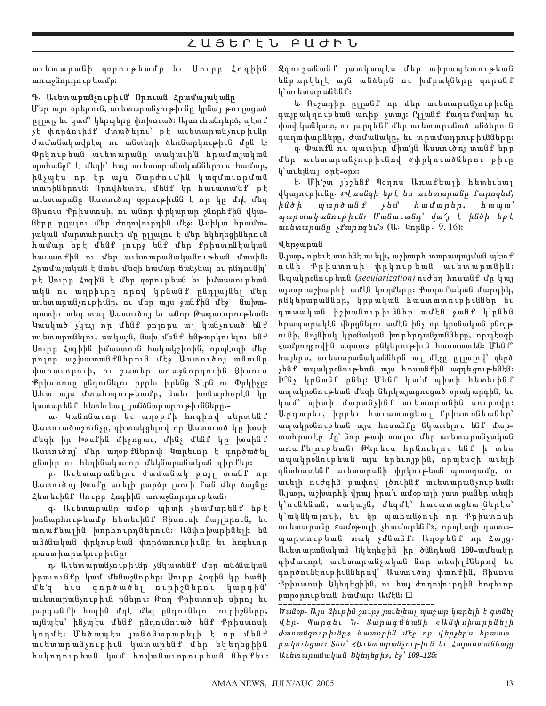## $\mathsf{\mathcal{L}}\cup\mathsf{\mathcal{B}}\mathsf{\mathsf{b}}\cap\mathsf{\mathsf{E}}\cup\mathsf{\mathsf{\mathsf{\mathsf{F}}}}\cup\mathsf{\mathsf{\mathsf{\mathsf{F}}}}\cup\mathsf{\mathsf{\mathsf{\mathsf{F}}}}\cup\mathsf{\mathsf{\mathsf{\mathsf{F}}}}$

աւետարանի զօրութեամբ եւ Սուրբ Հոգիին առաջնորդութեամբ։

## Գ. Աւետարանչութիւն՝ Օրուան Հրամայականը

Մեր այս օրերուն, աւետարանչութիւնը կրնայ թույացած րլլալ, եւ կամ՝ կերպերը փոխուած։ Այսուհանդերձ, պէտք չէ փորձուինք մտածելու՝ թէ աւետարանչութիւնը ժամանակավրէպ ու անտեղի ձեռնարկութիւն մրն է։ Փրկութեան աւետարանը տակաւի՛ն հրամայական պահանջք է մեզի՝ հայ աւետարանականներուս համար, ինչպէս որ էր այս Շարժումին կազմաւորման տարիներուն։ Որովհետեւ, մենք կր հաւատա՛նք՝ թէ աւետարանը Աստուծոյ զօրութիւնն է որ կր մղէ մեզ Յիսուս Քրիստոսի, ու անոր փրկարար շնորհքին վկաները ըլյայու մեր ժողովուրդին մէջ։ Ասիկա հրամայական <mark>մարտահրաւէր մր րլյալու է մեր եկեղեցիներու</mark>ն համար եթէ մենք լուրջ ենք մեր քրիստոնէական հաւատ քին ու մեր աւետարանականութեան մասին։ Հրամայական է նաեւ մեզի համար ճանչնալ եւ ընդունիլ՝ թէ Սուրբ Հոգի՛ն է մեր զօրութեան եւ իմաստութեան ակն ու աղբիւրը որով կրնանք ընդլայնել մեր աւետարանչութիւնը, ու մեր այս ջանքին մէջ նախապատիւ տեղ տալ Աստուծոյ եւ անոր Թագաւորութեան։ Կասկած չկայ որ մենք բոլորս ալ կանչուած ենք աւետարանելու, սակայն, նախ մենք ենթարկուելու ենք Սուրբ Հոգիին իմաստուն հակակշիռին, որպէսզի մեր րոլոր աշխատանքներուն մէջ Աստուծոյ անունը փառաւորուի, ու շատեր առաջնորդուին Ցիսուս Քրիստոսը ընդունելու իրրեւ իրենց Տէրն ու Փրկիչը։ <mark>Ահա այս մտահոգութեամբ, նաեւ խոնարհօրէն կր</mark> կատարենք հետեւեալ յանձնարարութիւնները.-

ա. կանոնաւոր եւ աղօթքի հոգիով սերտենք Աստուածաշունչը, գիտակցելով որ Աստուած կը խօսի մեզի իր Խօսքին միջոցաւ, մինչ մենք կր խօսինք Աստուծոյ՝ մեր աղօթ քներով: կարեւոր է գործածել րնտիր ու հեղինակաւոր մեկնաբանական գիրքեր։

ր. Աւետարանելու ժամանակ թոյլ տանք որ Աստուծոյ Խօսքը աւելի բարձր լսուի քան մեր ձայնը։ Հետեւինք Սուրբ Հոգիին առաջնորդութեան։

գ․ Աւետարանը ամօթ պիտի չհամարենք եթէ  $\alpha$ իտնարհութեամբ հետեւինք 3իսուսի քայլերուն, եւ առաքեալին խորհուրդներուն։ Անփոխարինելի են անձնական փրկութեան փորձառութիւնը եւ հոգեւոր դաստիարակութիւնը։

դ. Աւետարանչութիւնը չնկատենք մեր անձնական իրաւունքը կամ մենաշնորհը։ Սուրբ Հոգին կը հաճի մե՛զ եւս գործածել ուրիշներու կարգին՝ աւետարանչութիւն ընելու։ Թող Քրիստոսի սիրոյ եւ յարգանքի հոգին մղէ մեզ ընդունելու ուրիշները, այնպէս՝ ինչպէս մենք ընդունուած ենք Քրիստոսի կողմէ։ Մեծապէս յանձնարարելի է որ <mark>մենք</mark> աւետարանչութիւն կատարենք մեր եկեղեցիին  $h$ սկողութեան կամ հովանաւորութեան ներքեւ։ $\vert$ 

Զգուշանանք յատկապէս մեր տիրապետութեան ենթարկելէ այն անձերն ու խմբակները զորոնք կ՝ աւետարանեն ք։

ե Ուշադիր ըլլանք որ մեր աւետարանչութիւնը գայթակղութեան առիթ չտայ։ Ըլլանք քաղաքավար եւ փափկանկատ, ու յարգենք մեր աւետարանած անձերուն գաղափարները, ժամանակը, եւ տրամադրութիւնները։

զ. Փառքն ու պատիւր միա՛յն Աստուծոյ տանք երբ մեր աւետարանչութիւնով «փրկուածներու թիւր կ՝ աւելնայ օրէ-օր»։

է. Մի'շտ յիշենք Պօղոս Առաքեայի հետեւեայ վկայութիւնը. «վասնզի եթէ ես աւետարանը քարոզեմ, in6 i par6 an q c;m f amar;r4 f <sup>a</sup> pa<sup>3</sup>  $w$ արտականութիւն։ Մանաւանդ՝ վա' է ինծի եթէ աւետարանը *չք*արոզեմ» (Ա․ Կորնթ․ 9.16)։

## **W;r=aban**

Այսօր, որեւէ ատենե աւելի, աշխարհ տարապայման պէտ ք ունի Քրիստոսի փրկութեան աւետարանին։ Ապակրօնութեան (*secularization)* ուժեղ հոսանք մր կայ այսօր աշխարհի ամէն կողմերը։ Քաղաքական մարդիկ, րնկերաբաններ, կրթական հաստատութիւններ եւ դատական իշխանութիւններ ամէն ջանք կ՝րնեն հրապարակէն վերցնելու ամէն ինչ որ կրօնական բնոյթ ունի, նոյնիսկ կրօնական խորհրդանշանները, որպէսզի «ամբողջովին ազատ» ընկերութիւն հաստատեն։ Մենք՝ hայերս, աւետարանականներն ալ մէջը ըլլալով՝ զերծ  $y$ ենք ապակրօնութեան այս հոսանքին ազդեցութենէն։ Ի՞նչ կրնանք ընել։ Մենք կա՛մ պիտի հետեւինք ապակրօնութեան մեզի ներկայացուցած օրակարգին, եւ կամ՝ պիտի մարտնչինք աւետարանին սուրովը։ Արդարեւ, իրրեւ հաւատացեալ քրիստոնեաներ՝ ապակրօնութեան այս հոսանքը նկատելու ենք մարտահրաւէր մը՝ նոր թափ տայու մեր աւետարանչական առաքելութեան։ Թերեւս հրճուելու ենք ի տես ապակրօնութեան այս երեւոյթին, որպէսզի աւելի գնահատենք աւետարանի փրկութեան պատգամը, ու աւելի ուժգին թափով լծուինք աւետարանչութեան։ Այսօր, աշխարհի վրայ իրա՛ւ ամօթալի շատ բաներ տեղի կ՝ունենան, սակայն, մեզմէ՝ հաւատացեա<sub>l</sub>ներէս՝ կ՝ակնկալուի, եւ կր պահանջուի որ Քրիստոսի աւետարանը «ամօթալի չհամարենք», որպէսզի դատապարտութեան տակ չմնանք։ Աղօթենք որ Հայց. Աւետարանական Եկեղեցին իր ծննդեան 160-ամեակը դիմաւորէ աւետարանչական նոր տեսիլքներով եւ գործունէութիւններով՝ Աստուծոյ փառքին, Յիսուս Քրիստոսի Եկեղեցիին, ու հայ ժողովուրդին հոգեւոր րարօրութեան համար։ Ամէն։  $\square$ 

Ծանօթ. Այս նիւթին շուրջ յաւելեալ պաշար կարելի է գտնել վեր. Պարգեւ Ն. Տարագճեանի «Անփոխարինելի Junանգութիւնը» հատորին մէջ որ վերջերս հրատարակուեցաւ։ Տես՝ «Աւետարանչութիւն եւ Հայաստանեայց  $U_t$ ետ արանական Եկեղեցի», էջ՝ 109-125: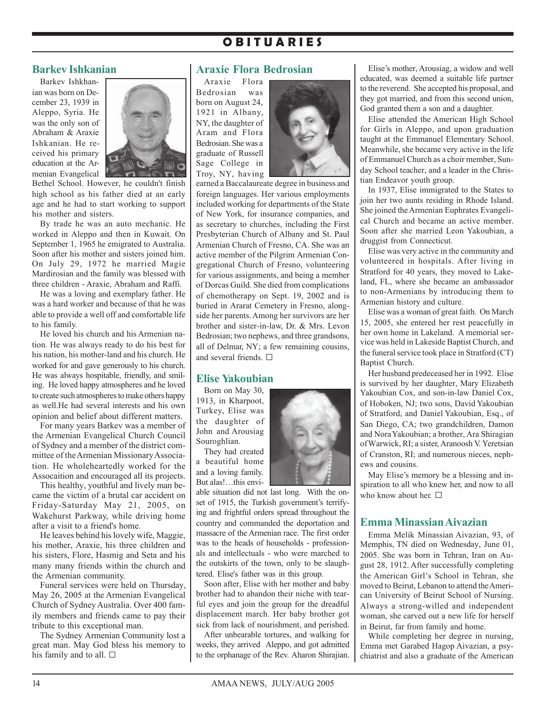# **O B I T U A R I E S**

### **Barkev Ishkanian**

Barkev Ishkhanian was born on December 23, 1939 in Aleppo, Syria. He was the only son of Abraham & Araxie Ishkanian. He received his primary education at the Armenian Evangelical



Bethel School. However, he couldn't finish high school as his father died at an early age and he had to start working to support his mother and sisters.

By trade he was an auto mechanic. He worked in Aleppo and then in Kuwait. On September 1, 1965 he emigrated to Australia. Soon after his mother and sisters joined him. On July 29, 1972 he married Magie Mardirosian and the family was blessed with three children - Araxie, Abraham and Raffi.

He was a loving and exemplary father. He was a hard worker and because of that he was able to provide a well off and comfortable life to his family.

He loved his church and his Armenian nation. He was always ready to do his best for his nation, his mother-land and his church. He worked for and gave generously to his church. He was always hospitable, friendly, and smiling. He loved happy atmospheres and he loved to create such atmospheres to make others happy as well.He had several interests and his own opinion and belief about different matters.

For many years Barkev was a member of the Armenian Evangelical Church Council of Sydney and a member of the district committee of the Armenian Missionary Association. He wholeheartedly worked for the Assocaition and encouraged all its projects.

This healthy, youthful and lively man became the victim of a brutal car accident on Friday-Saturday May 21, 2005, on Wakehurst Parkway, while driving home after a visit to a friend's home.

He leaves behind his lovely wife, Maggie, his mother, Araxie, his three children and his sisters, Flore, Hasmig and Seta and his many many friends within the church and the Armenian community.

Funeral services were held on Thursday, May 26, 2005 at the Armenian Evangelical Church of Sydney Australia. Over 400 family members and friends came to pay their tribute to this exceptional man.

The Sydney Armenian Community lost a great man. May God bless his memory to his family and to all.  $\square$ 

### **Araxie Flora Bedrosian**

Araxie Flora Bedrosian was born on August 24, 1921 in Albany, NY, the daughter of Aram and Flora Bedrosian. She was a graduate of Russell Sage College in Troy, NY, having



earned a Baccalaureate degree in business and foreign languages. Her various employments included working for departments of the State of New York, for insurance companies, and as secretary to churches, including the First Presbyterian Church of Albany and St. Paul Armenian Church of Fresno, CA. She was an active member of the Pilgrim Armenian Congregational Church of Fresno, volunteering for various assignments, and being a member of Dorcas Guild. She died from complications of chemotherapy on Sept. 19, 2002 and is buried in Ararat Cemetery in Fresno, alongside her parents. Among her survivors are her brother and sister-in-law, Dr. & Mrs. Levon Bedrosian; two nephews, and three grandsons, all of Delmar, NY; a few remaining cousins, and several friends.  $\square$ 

## **Elise Yakoubian**

Born on May 30, 1913, in Kharpoot, Turkey, Elise was the daughter of John and Arousiag Souroghlian.

They had created a beautiful home and a loving family. But alas!…this envi-



able situation did not last long. With the onset of 1915, the Turkish government's terrifying and frightful orders spread throughout the country and commanded the deportation and massacre of the Armenian race. The first order was to the heads of households - professionals and intellectuals - who were marched to the outskirts of the town, only to be slaughtered. Elise's father was in this group.

Soon after, Elise with her mother and baby brother had to abandon their niche with tearful eyes and join the group for the dreadful displacement march. Her baby brother got sick from lack of nourishment, and perished.

After unbearable tortures, and walking for weeks, they arrived Aleppo, and got admitted to the orphanage of the Rev. Aharon Shirajian.

Elise's mother, Arousiag, a widow and well educated, was deemed a suitable life partner to the reverend. She accepted his proposal, and they got married, and from this second union, God granted them a son and a daughter.

Elise attended the American High School for Girls in Aleppo, and upon graduation taught at the Emmanuel Elementary School. Meanwhile, she became very active in the life of Emmanuel Church as a choir member, Sunday School teacher, and a leader in the Christian Endeavor youth group.

In 1937, Elise immigrated to the States to join her two aunts residing in Rhode Island. She joined the Armenian Euphrates Evangelical Church and became an active member. Soon after she married Leon Yakoubian, a druggist from Connecticut.

Elise was very active in the community and volunteered in hospitals. After living in Stratford for 40 years, they moved to Lakeland, FL, where she became an ambassador to non-Armenians by introducing them to Armenian history and culture.

Elise was a woman of great faith. On March 15, 2005, she entered her rest peacefully in her own home in Lakeland. A memorial service was held in Lakeside Baptist Church, and the funeral service took place in Stratford (CT) Baptist Church.

Her husband predeceased her in 1992. Elise is survived by her daughter, Mary Elizabeth Yakoubian Cox, and son-in-law Daniel Cox, of Hoboken, NJ; two sons, David Yakoubian of Stratford, and Daniel Yakoubian, Esq., of San Diego, CA; two grandchildren, Damon and Nora Yakoubian; a brother, Ara Shiragian of Warwick, RI; a sister, Aranoosh V. Yeretsian of Cranston, RI; and numerous nieces, nephews and cousins.

May Elise's memory be a blessing and inspiration to all who knew her, and now to all who know about her.  $\Box$ 

## **Emma Minassian Aivazian**

Emma Melik Minassian Aivazian, 93, of Memphis, TN died on Wednesday, June 01, 2005. She was born in Tehran, Iran on August 28, 1912. After successfully completing the American Girl's School in Tehran, she moved to Beirut, Lebanon to attend the American University of Beirut School of Nursing. Always a strong-willed and independent woman, she carved out a new life for herself in Beirut, far from family and home.

While completing her degree in nursing, Emma met Garabed Hagop Aivazian, a psychiatrist and also a graduate of the American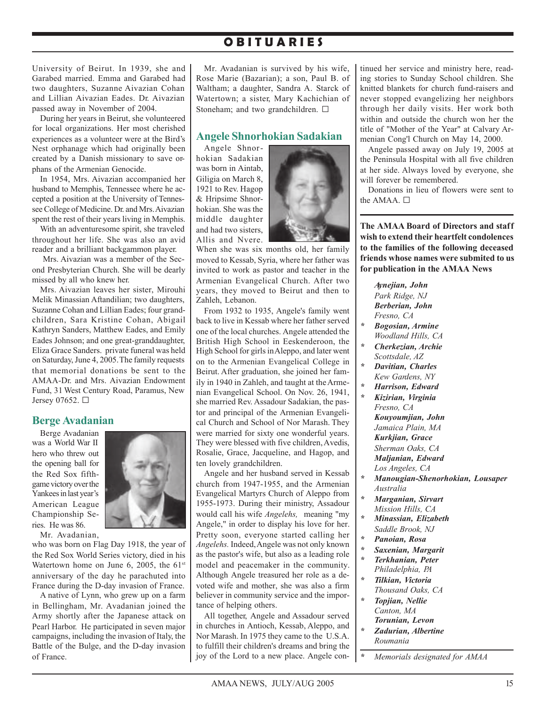# **O B I T U A R I E S**

University of Beirut. In 1939, she and Garabed married. Emma and Garabed had two daughters, Suzanne Aivazian Cohan and Lillian Aivazian Eades. Dr. Aivazian passed away in November of 2004.

During her years in Beirut, she volunteered for local organizations. Her most cherished experiences as a volunteer were at the Bird's Nest orphanage which had originally been created by a Danish missionary to save orphans of the Armenian Genocide.

In 1954, Mrs. Aivazian accompanied her husband to Memphis, Tennessee where he accepted a position at the University of Tennessee College of Medicine. Dr. and Mrs. Aivazian spent the rest of their years living in Memphis.

With an adventuresome spirit, she traveled throughout her life. She was also an avid reader and a brilliant backgammon player.

 Mrs. Aivazian was a member of the Second Presbyterian Church. She will be dearly missed by all who knew her.

Mrs. Aivazian leaves her sister, Mirouhi Melik Minassian Aftandilian; two daughters, Suzanne Cohan and Lillian Eades; four grandchildren, Sara Kristine Cohan, Abigail Kathryn Sanders, Matthew Eades, and Emily Eades Johnson; and one great-granddaughter, Eliza Grace Sanders. private funeral was held on Saturday, June 4, 2005. The family requests that memorial donations be sent to the AMAA-Dr. and Mrs. Aivazian Endowment Fund, 31 West Century Road, Paramus, New Jersey 07652. G

## **Berge Avadanian**

Berge Avadanian was a World War II hero who threw out the opening ball for the Red Sox fifthgame victory over the Yankees in last year's American League Championship Series. He was 86.



Mr. Avadanian, who was born on Flag Day 1918, the year of the Red Sox World Series victory, died in his Watertown home on June 6, 2005, the  $61<sup>st</sup>$ anniversary of the day he parachuted into France during the D-day invasion of France.

A native of Lynn, who grew up on a farm in Bellingham, Mr. Avadanian joined the Army shortly after the Japanese attack on Pearl Harbor. He participated in seven major campaigns, including the invasion of Italy, the Battle of the Bulge, and the D-day invasion of France.

Mr. Avadanian is survived by his wife, Rose Marie (Bazarian); a son, Paul B. of Waltham; a daughter, Sandra A. Starck of Watertown; a sister, Mary Kachichian of Stoneham; and two grandchildren.  $\square$ 

## **Angele Shnorhokian Sadakian**

Angele Shnorhokian Sadakian was born in Aintab, Giligia on March 8, 1921 to Rev. Hagop & Hripsime Shnorhokian. She was the middle daughter and had two sisters, Allis and Nvere.



When she was six months old, her family moved to Kessab, Syria, where her father was invited to work as pastor and teacher in the Armenian Evangelical Church. After two years, they moved to Beirut and then to Zahleh, Lebanon.

From 1932 to 1935, Angele's family went back to live in Kessab where her father served one of the local churches. Angele attended the British High School in Eeskenderoon, the High School for girls in Aleppo, and later went on to the Armenian Evangelical College in Beirut. After graduation, she joined her family in 1940 in Zahleh, and taught at the Armenian Evangelical School. On Nov. 26, 1941, she married Rev. Assadour Sadakian, the pastor and principal of the Armenian Evangelical Church and School of Nor Marash. They were married for sixty one wonderful years. They were blessed with five children, Avedis, Rosalie, Grace, Jacqueline, and Hagop, and ten lovely grandchildren.

Angele and her husband served in Kessab church from 1947-1955, and the Armenian Evangelical Martyrs Church of Aleppo from 1955-1973. During their ministry, Assadour would call his wife *Angelehs,* meaning "my Angele," in order to display his love for her. Pretty soon, everyone started calling her *Angelehs.* Indeed, Angele was not only known as the pastor's wife, but also as a leading role model and peacemaker in the community. Although Angele treasured her role as a devoted wife and mother, she was also a firm believer in community service and the importance of helping others.

All together, Angele and Assadour served in churches in Antioch, Kessab, Aleppo, and Nor Marash. In 1975 they came to the U.S.A. to fulfill their children's dreams and bring the joy of the Lord to a new place. Angele continued her service and ministry here, reading stories to Sunday School children. She knitted blankets for church fund-raisers and never stopped evangelizing her neighbors through her daily visits. Her work both within and outside the church won her the title of "Mother of the Year" at Calvary Armenian Cong'l Church on May 14, 2000.

Angele passed away on July 19, 2005 at the Peninsula Hospital with all five children at her side. Always loved by everyone, she will forever be remembered.

Donations in lieu of flowers were sent to the AMAA. □

**The AMAA Board of Directors and staff wish to extend their heartfelt condolences to the families of the following deceased friends whose names were submited to us for publication in the AMAA News**

*Aynejian, John Park Ridge, NJ Berberian, John Fresno, CA*

- *\* Bogosian, Armine Woodland Hills, CA*
- *\* Cherkezian, Archie Scottsdale, AZ*
- *\* Davitian, Charles Kew Gardens, NY*
- *\* Harrison, Edward*
- *\* Kizirian, Virginia Fresno, CA Kouyoumjian, John Jamaica Plain, MA Kurkjian, Grace Sherman Oaks, CA Maljanian, Edward Los Angeles, CA*
- *\* Manougian-Shenorhokian, Lousaper Australia*
- *\* Marganian, Sirvart Mission Hills, CA*
- *\* Minassian, Elizabeth Saddle Brook, NJ*
- *\* Panoian, Rosa*
- *\* Saxenian, Margarit*
- *\* Terkhanian, Peter Philadelphia, PA*
- *\* Tilkian, Victoria Thousand Oaks, CA*
- *\* Topjian, Nellie Canton, MA Torunian, Levon*
- *\* Zadurian, Albertine Roumania*
- *\* Memorials designated for AMAA*